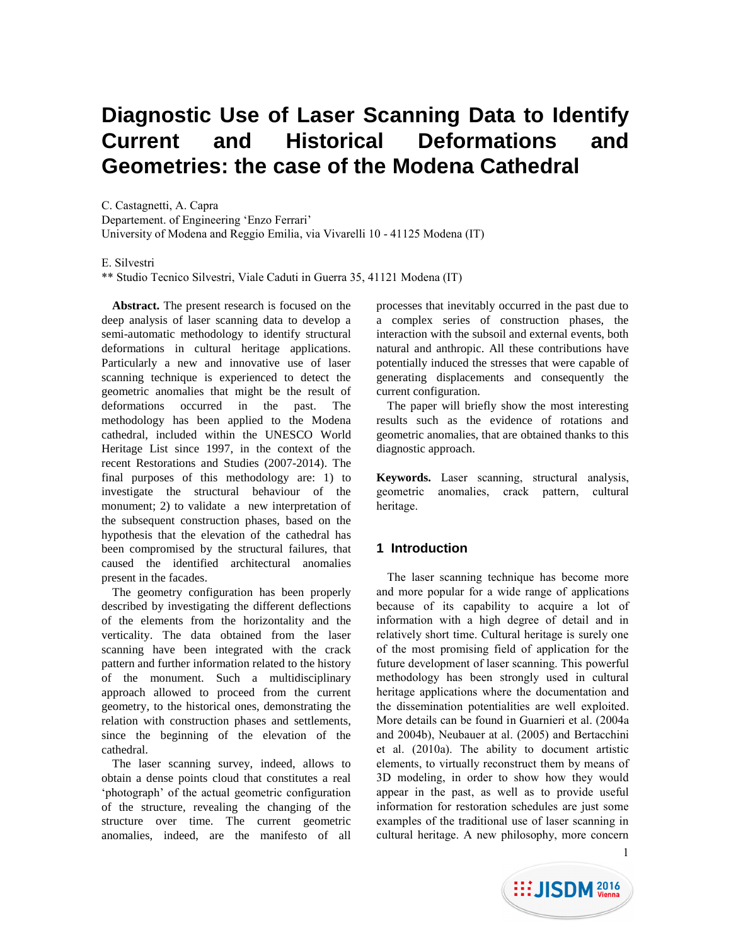# **Diagnostic Use of Laser Scanning Data to Identify Current and Historical Deformations and Geometries: the case of the Modena Cathedral**

C. Castagnetti, A. Capra

Departement. of Engineering 'Enzo Ferrari'

University of Modena and Reggio Emilia, via Vivarelli 10 - 41125 Modena (IT)

## E. Silvestri

\*\* Studio Tecnico Silvestri, Viale Caduti in Guerra 35, 41121 Modena (IT)

**Abstract.** The present research is focused on the deep analysis of laser scanning data to develop a semi-automatic methodology to identify structural deformations in cultural heritage applications. Particularly a new and innovative use of laser scanning technique is experienced to detect the geometric anomalies that might be the result of deformations occurred in the past. The methodology has been applied to the Modena cathedral, included within the UNESCO World Heritage List since 1997, in the context of the recent Restorations and Studies (2007-2014). The final purposes of this methodology are: 1) to investigate the structural behaviour of the monument; 2) to validate a new interpretation of the subsequent construction phases, based on the hypothesis that the elevation of the cathedral has been compromised by the structural failures, that caused the identified architectural anomalies present in the facades.

The geometry configuration has been properly described by investigating the different deflections of the elements from the horizontality and the verticality. The data obtained from the laser scanning have been integrated with the crack pattern and further information related to the history of the monument. Such a multidisciplinary approach allowed to proceed from the current geometry, to the historical ones, demonstrating the relation with construction phases and settlements, since the beginning of the elevation of the cathedral.

The laser scanning survey, indeed, allows to obtain a dense points cloud that constitutes a real 'photograph' of the actual geometric configuration of the structure, revealing the changing of the structure over time. The current geometric anomalies, indeed, are the manifesto of all

processes that inevitably occurred in the past due to a complex series of construction phases, the interaction with the subsoil and external events, both natural and anthropic. All these contributions have potentially induced the stresses that were capable of generating displacements and consequently the current configuration.

The paper will briefly show the most interesting results such as the evidence of rotations and geometric anomalies, that are obtained thanks to this diagnostic approach.

**Keywords.** Laser scanning, structural analysis, geometric anomalies, crack pattern, cultural heritage.

# **1 Introduction**

The laser scanning technique has become more and more popular for a wide range of applications because of its capability to acquire a lot of information with a high degree of detail and in relatively short time. Cultural heritage is surely one of the most promising field of application for the future development of laser scanning. This powerful methodology has been strongly used in cultural heritage applications where the documentation and the dissemination potentialities are well exploited. More details can be found in Guarnieri et al. (2004a and 2004b), Neubauer at al. (2005) and Bertacchini et al. (2010a). The ability to document artistic elements, to virtually reconstruct them by means of 3D modeling, in order to show how they would appear in the past, as well as to provide useful information for restoration schedules are just some examples of the traditional use of laser scanning in cultural heritage. A new philosophy, more concern

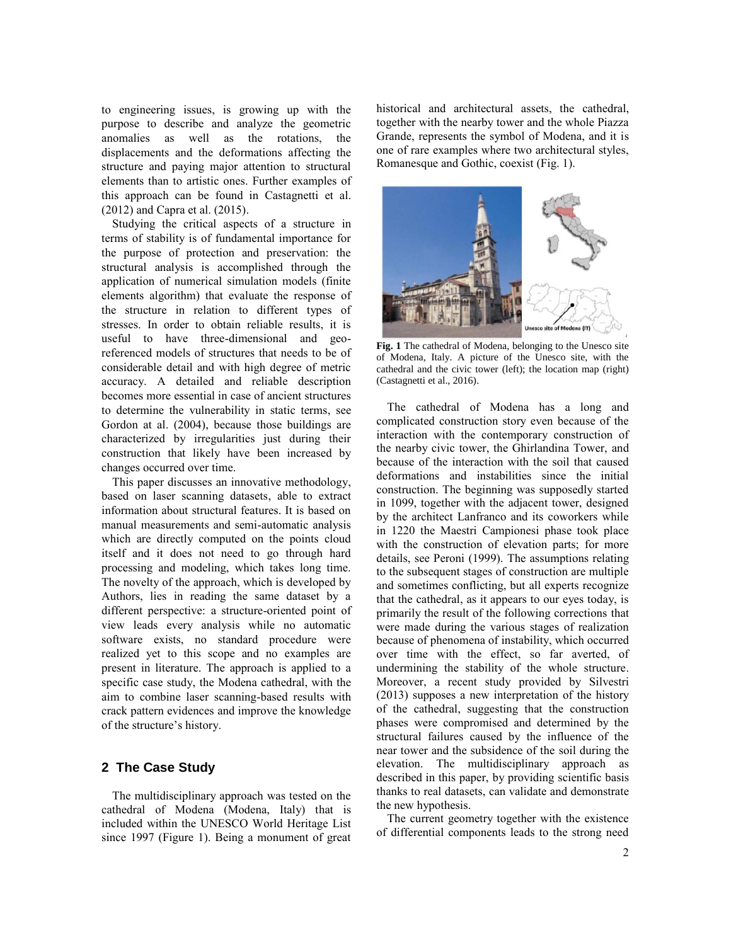to engineering issues, is growing up with the purpose to describe and analyze the geometric anomalies as well as the rotations, the displacements and the deformations affecting the structure and paying major attention to structural elements than to artistic ones. Further examples of this approach can be found in Castagnetti et al. (2012) and Capra et al. (2015).

Studying the critical aspects of a structure in terms of stability is of fundamental importance for the purpose of protection and preservation: the structural analysis is accomplished through the application of numerical simulation models (finite elements algorithm) that evaluate the response of the structure in relation to different types of stresses. In order to obtain reliable results, it is useful to have three-dimensional and georeferenced models of structures that needs to be of considerable detail and with high degree of metric accuracy. A detailed and reliable description becomes more essential in case of ancient structures to determine the vulnerability in static terms, see Gordon at al. (2004), because those buildings are characterized by irregularities just during their construction that likely have been increased by changes occurred over time.

This paper discusses an innovative methodology, based on laser scanning datasets, able to extract information about structural features. It is based on manual measurements and semi-automatic analysis which are directly computed on the points cloud itself and it does not need to go through hard processing and modeling, which takes long time. The novelty of the approach, which is developed by Authors, lies in reading the same dataset by a different perspective: a structure-oriented point of view leads every analysis while no automatic software exists, no standard procedure were realized yet to this scope and no examples are present in literature. The approach is applied to a specific case study, the Modena cathedral, with the aim to combine laser scanning-based results with crack pattern evidences and improve the knowledge of the structure's history.

## **2 The Case Study**

The multidisciplinary approach was tested on the cathedral of Modena (Modena, Italy) that is included within the UNESCO World Heritage List since 1997 (Figure 1). Being a monument of great historical and architectural assets, the cathedral, together with the nearby tower and the whole Piazza Grande, represents the symbol of Modena, and it is one of rare examples where two architectural styles, Romanesque and Gothic, coexist (Fig. 1).



**Fig. 1** The cathedral of Modena, belonging to the Unesco site of Modena, Italy. A picture of the Unesco site, with the cathedral and the civic tower (left); the location map (right) (Castagnetti et al., 2016).

The cathedral of Modena has a long and complicated construction story even because of the interaction with the contemporary construction of the nearby civic tower, the Ghirlandina Tower, and because of the interaction with the soil that caused deformations and instabilities since the initial construction. The beginning was supposedly started in 1099, together with the adjacent tower, designed by the architect Lanfranco and its coworkers while in 1220 the Maestri Campionesi phase took place with the construction of elevation parts; for more details, see Peroni (1999). The assumptions relating to the subsequent stages of construction are multiple and sometimes conflicting, but all experts recognize that the cathedral, as it appears to our eyes today, is primarily the result of the following corrections that were made during the various stages of realization because of phenomena of instability, which occurred over time with the effect, so far averted, of undermining the stability of the whole structure. Moreover, a recent study provided by Silvestri (2013) supposes a new interpretation of the history of the cathedral, suggesting that the construction phases were compromised and determined by the structural failures caused by the influence of the near tower and the subsidence of the soil during the elevation. The multidisciplinary approach as described in this paper, by providing scientific basis thanks to real datasets, can validate and demonstrate the new hypothesis.

The current geometry together with the existence of differential components leads to the strong need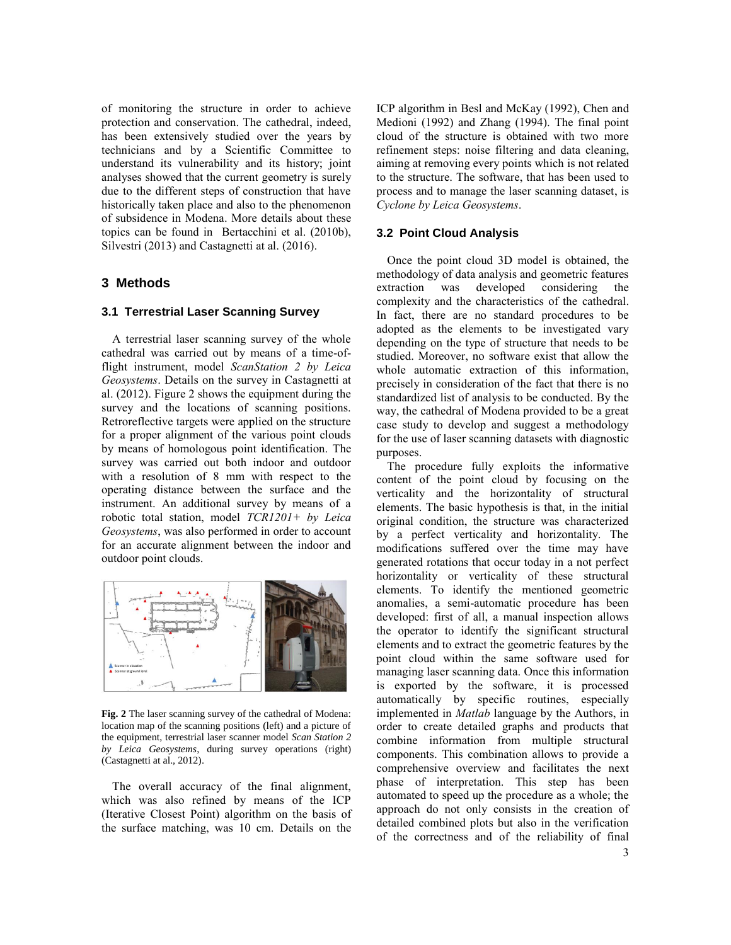of monitoring the structure in order to achieve protection and conservation. The cathedral, indeed, has been extensively studied over the years by technicians and by a Scientific Committee to understand its vulnerability and its history; joint analyses showed that the current geometry is surely due to the different steps of construction that have historically taken place and also to the phenomenon of subsidence in Modena. More details about these topics can be found in Bertacchini et al. (2010b), Silvestri (2013) and Castagnetti at al. (2016).

## **3 Methods**

#### **3.1 Terrestrial Laser Scanning Survey**

A terrestrial laser scanning survey of the whole cathedral was carried out by means of a time-offlight instrument, model *ScanStation 2 by Leica Geosystems*. Details on the survey in Castagnetti at al. (2012). Figure 2 shows the equipment during the survey and the locations of scanning positions. Retroreflective targets were applied on the structure for a proper alignment of the various point clouds by means of homologous point identification. The survey was carried out both indoor and outdoor with a resolution of 8 mm with respect to the operating distance between the surface and the instrument. An additional survey by means of a robotic total station, model *TCR1201+ by Leica Geosystems*, was also performed in order to account for an accurate alignment between the indoor and outdoor point clouds.



**Fig. 2** The laser scanning survey of the cathedral of Modena: location map of the scanning positions (left) and a picture of the equipment, terrestrial laser scanner model *Scan Station 2 by Leica Geosystems*, during survey operations (right) (Castagnetti at al., 2012).

The overall accuracy of the final alignment, which was also refined by means of the ICP (Iterative Closest Point) algorithm on the basis of the surface matching, was 10 cm. Details on the ICP algorithm in Besl and McKay (1992), Chen and Medioni (1992) and Zhang (1994). The final point cloud of the structure is obtained with two more refinement steps: noise filtering and data cleaning, aiming at removing every points which is not related to the structure. The software, that has been used to process and to manage the laser scanning dataset, is *Cyclone by Leica Geosystems*.

### **3.2 Point Cloud Analysis**

Once the point cloud 3D model is obtained, the methodology of data analysis and geometric features extraction was developed considering the complexity and the characteristics of the cathedral. In fact, there are no standard procedures to be adopted as the elements to be investigated vary depending on the type of structure that needs to be studied. Moreover, no software exist that allow the whole automatic extraction of this information, precisely in consideration of the fact that there is no standardized list of analysis to be conducted. By the way, the cathedral of Modena provided to be a great case study to develop and suggest a methodology for the use of laser scanning datasets with diagnostic purposes.

The procedure fully exploits the informative content of the point cloud by focusing on the verticality and the horizontality of structural elements. The basic hypothesis is that, in the initial original condition, the structure was characterized by a perfect verticality and horizontality. The modifications suffered over the time may have generated rotations that occur today in a not perfect horizontality or verticality of these structural elements. To identify the mentioned geometric anomalies, a semi-automatic procedure has been developed: first of all, a manual inspection allows the operator to identify the significant structural elements and to extract the geometric features by the point cloud within the same software used for managing laser scanning data. Once this information is exported by the software, it is processed automatically by specific routines, especially implemented in *Matlab* language by the Authors, in order to create detailed graphs and products that combine information from multiple structural components. This combination allows to provide a comprehensive overview and facilitates the next phase of interpretation. This step has been automated to speed up the procedure as a whole; the approach do not only consists in the creation of detailed combined plots but also in the verification of the correctness and of the reliability of final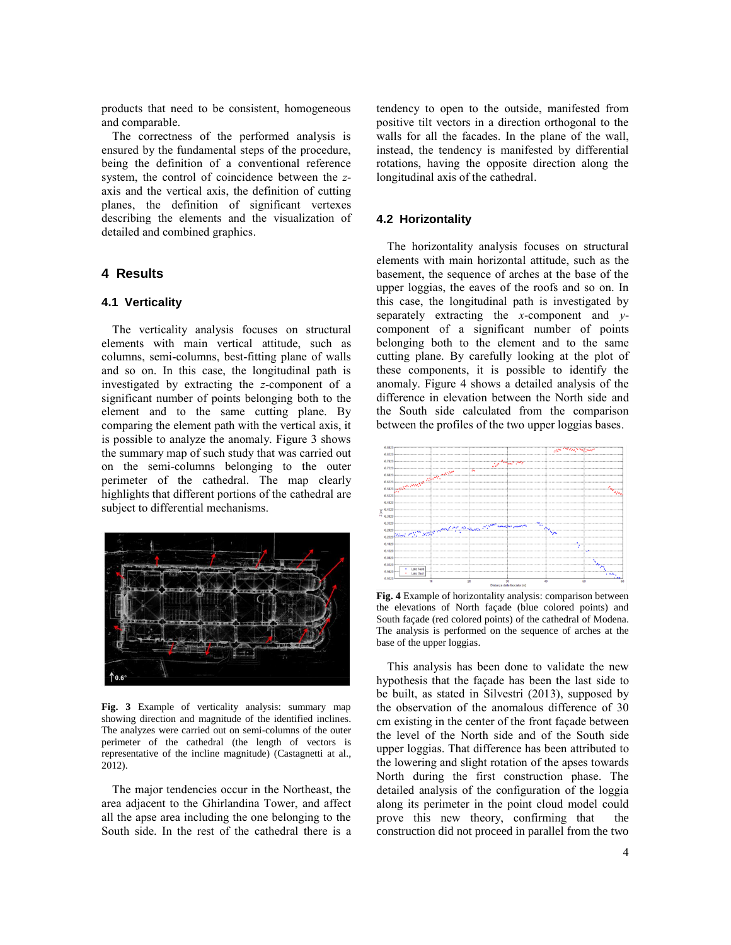products that need to be consistent, homogeneous and comparable.

The correctness of the performed analysis is ensured by the fundamental steps of the procedure, being the definition of a conventional reference system, the control of coincidence between the *z*axis and the vertical axis, the definition of cutting planes, the definition of significant vertexes describing the elements and the visualization of detailed and combined graphics.

# **4 Results**

## **4.1 Verticality**

The verticality analysis focuses on structural elements with main vertical attitude, such as columns, semi-columns, best-fitting plane of walls and so on. In this case, the longitudinal path is investigated by extracting the *z*-component of a significant number of points belonging both to the element and to the same cutting plane. By comparing the element path with the vertical axis, it is possible to analyze the anomaly. Figure 3 shows the summary map of such study that was carried out on the semi-columns belonging to the outer perimeter of the cathedral. The map clearly highlights that different portions of the cathedral are subject to differential mechanisms.



**Fig. 3** Example of verticality analysis: summary map showing direction and magnitude of the identified inclines. The analyzes were carried out on semi-columns of the outer perimeter of the cathedral (the length of vectors is representative of the incline magnitude) (Castagnetti at al., 2012).

The major tendencies occur in the Northeast, the area adjacent to the Ghirlandina Tower, and affect all the apse area including the one belonging to the South side. In the rest of the cathedral there is a tendency to open to the outside, manifested from positive tilt vectors in a direction orthogonal to the walls for all the facades. In the plane of the wall, instead, the tendency is manifested by differential rotations, having the opposite direction along the longitudinal axis of the cathedral.

## **4.2 Horizontality**

The horizontality analysis focuses on structural elements with main horizontal attitude, such as the basement, the sequence of arches at the base of the upper loggias, the eaves of the roofs and so on. In this case, the longitudinal path is investigated by separately extracting the *x*-component and *y*component of a significant number of points belonging both to the element and to the same cutting plane. By carefully looking at the plot of these components, it is possible to identify the anomaly. Figure 4 shows a detailed analysis of the difference in elevation between the North side and the South side calculated from the comparison between the profiles of the two upper loggias bases.



**Fig. 4** Example of horizontality analysis: comparison between the elevations of North façade (blue colored points) and South façade (red colored points) of the cathedral of Modena. The analysis is performed on the sequence of arches at the base of the upper loggias.

This analysis has been done to validate the new hypothesis that the façade has been the last side to be built, as stated in Silvestri (2013), supposed by the observation of the anomalous difference of 30 cm existing in the center of the front façade between the level of the North side and of the South side upper loggias. That difference has been attributed to the lowering and slight rotation of the apses towards North during the first construction phase. The detailed analysis of the configuration of the loggia along its perimeter in the point cloud model could prove this new theory, confirming that the construction did not proceed in parallel from the two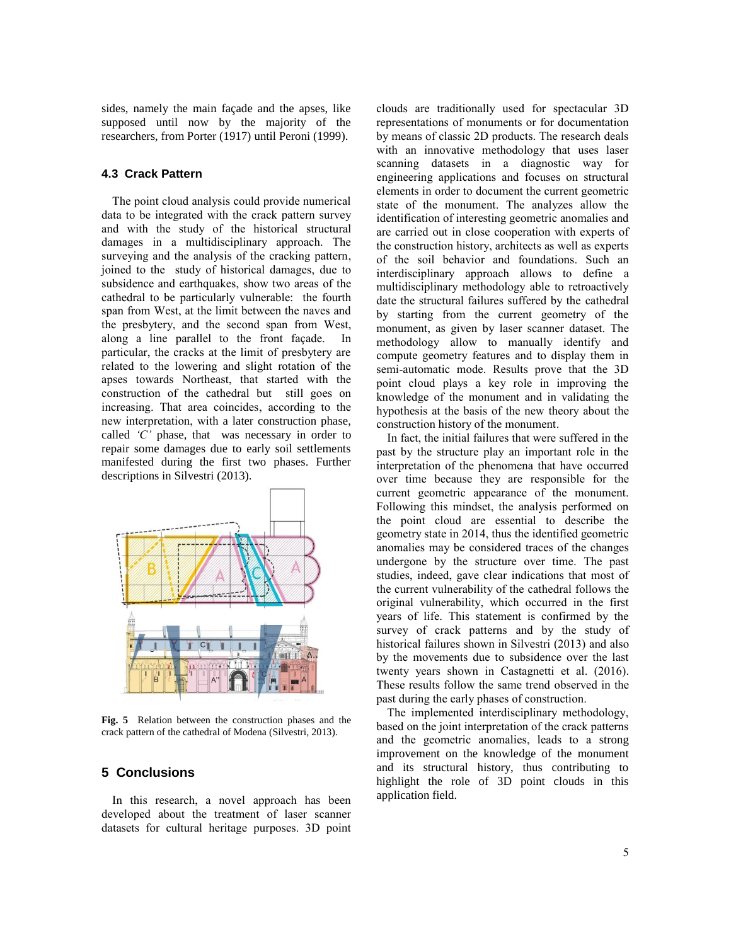sides, namely the main façade and the apses, like supposed until now by the majority of the researchers, from Porter (1917) until Peroni (1999).

## **4.3 Crack Pattern**

The point cloud analysis could provide numerical data to be integrated with the crack pattern survey and with the study of the historical structural damages in a multidisciplinary approach. The surveying and the analysis of the cracking pattern, joined to the study of historical damages, due to subsidence and earthquakes, show two areas of the cathedral to be particularly vulnerable: the fourth span from West, at the limit between the naves and the presbytery, and the second span from West, along a line parallel to the front façade. In particular, the cracks at the limit of presbytery are related to the lowering and slight rotation of the apses towards Northeast, that started with the construction of the cathedral but still goes on increasing. That area coincides, according to the new interpretation, with a later construction phase, called *'C'* phase, that was necessary in order to repair some damages due to early soil settlements manifested during the first two phases. Further descriptions in Silvestri (2013).



**Fig. 5** Relation between the construction phases and the crack pattern of the cathedral of Modena (Silvestri, 2013).

## **5 Conclusions**

In this research, a novel approach has been developed about the treatment of laser scanner datasets for cultural heritage purposes. 3D point clouds are traditionally used for spectacular 3D representations of monuments or for documentation by means of classic 2D products. The research deals with an innovative methodology that uses laser scanning datasets in a diagnostic way for engineering applications and focuses on structural elements in order to document the current geometric state of the monument. The analyzes allow the identification of interesting geometric anomalies and are carried out in close cooperation with experts of the construction history, architects as well as experts of the soil behavior and foundations. Such an interdisciplinary approach allows to define a multidisciplinary methodology able to retroactively date the structural failures suffered by the cathedral by starting from the current geometry of the monument, as given by laser scanner dataset. The methodology allow to manually identify and compute geometry features and to display them in semi-automatic mode. Results prove that the 3D point cloud plays a key role in improving the knowledge of the monument and in validating the hypothesis at the basis of the new theory about the construction history of the monument.

In fact, the initial failures that were suffered in the past by the structure play an important role in the interpretation of the phenomena that have occurred over time because they are responsible for the current geometric appearance of the monument. Following this mindset, the analysis performed on the point cloud are essential to describe the geometry state in 2014, thus the identified geometric anomalies may be considered traces of the changes undergone by the structure over time. The past studies, indeed, gave clear indications that most of the current vulnerability of the cathedral follows the original vulnerability, which occurred in the first years of life. This statement is confirmed by the survey of crack patterns and by the study of historical failures shown in Silvestri (2013) and also by the movements due to subsidence over the last twenty years shown in Castagnetti et al. (2016). These results follow the same trend observed in the past during the early phases of construction.

The implemented interdisciplinary methodology, based on the joint interpretation of the crack patterns and the geometric anomalies, leads to a strong improvement on the knowledge of the monument and its structural history, thus contributing to highlight the role of 3D point clouds in this application field.